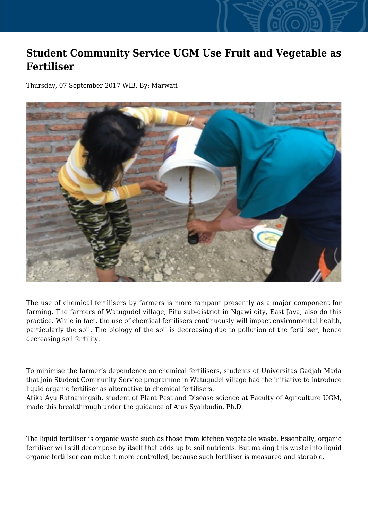## **Student Community Service UGM Use Fruit and Vegetable as Fertiliser**

Thursday, 07 September 2017 WIB, By: Marwati



The use of chemical fertilisers by farmers is more rampant presently as a major component for farming. The farmers of Watugudel village, Pitu sub-district in Ngawi city, East Java, also do this practice. While in fact, the use of chemical fertilisers continuously will impact environmental health, particularly the soil. The biology of the soil is decreasing due to pollution of the fertiliser, hence decreasing soil fertility.

To minimise the farmer's dependence on chemical fertilisers, students of Universitas Gadjah Mada that join Student Community Service programme in Watugudel village had the initiative to introduce liquid organic fertiliser as alternative to chemical fertilisers.

Atika Ayu Ratnaningsih, student of Plant Pest and Disease science at Faculty of Agriculture UGM, made this breakthrough under the guidance of Atus Syahbudin, Ph.D.

The liquid fertiliser is organic waste such as those from kitchen vegetable waste. Essentially, organic fertiliser will still decompose by itself that adds up to soil nutrients. But making this waste into liquid organic fertiliser can make it more controlled, because such fertiliser is measured and storable.